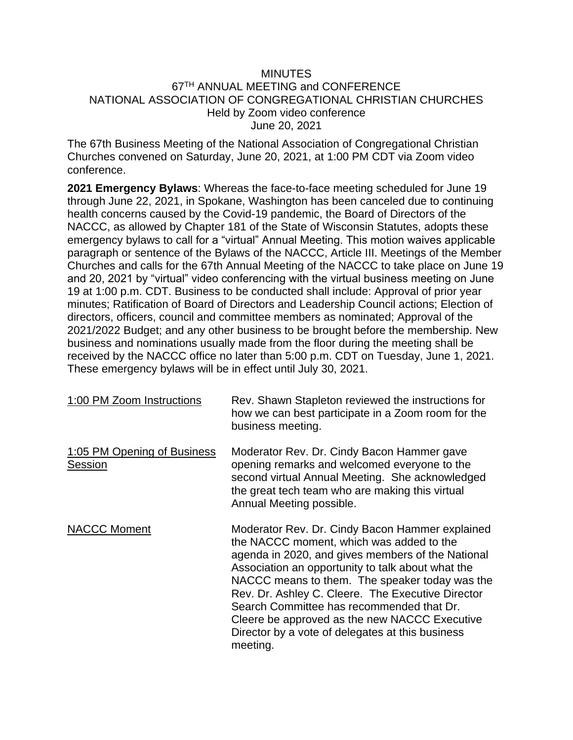#### MINUTES 67TH ANNUAL MEETING and CONFERENCE NATIONAL ASSOCIATION OF CONGREGATIONAL CHRISTIAN CHURCHES Held by Zoom video conference June 20, 2021

The 67th Business Meeting of the National Association of Congregational Christian Churches convened on Saturday, June 20, 2021, at 1:00 PM CDT via Zoom video conference.

**2021 Emergency Bylaws**: Whereas the face-to-face meeting scheduled for June 19 through June 22, 2021, in Spokane, Washington has been canceled due to continuing health concerns caused by the Covid-19 pandemic, the Board of Directors of the NACCC, as allowed by Chapter 181 of the State of Wisconsin Statutes, adopts these emergency bylaws to call for a "virtual" Annual Meeting. This motion waives applicable paragraph or sentence of the Bylaws of the NACCC, Article III. Meetings of the Member Churches and calls for the 67th Annual Meeting of the NACCC to take place on June 19 and 20, 2021 by "virtual" video conferencing with the virtual business meeting on June 19 at 1:00 p.m. CDT. Business to be conducted shall include: Approval of prior year minutes; Ratification of Board of Directors and Leadership Council actions; Election of directors, officers, council and committee members as nominated; Approval of the 2021/2022 Budget; and any other business to be brought before the membership. New business and nominations usually made from the floor during the meeting shall be received by the NACCC office no later than 5:00 p.m. CDT on Tuesday, June 1, 2021. These emergency bylaws will be in effect until July 30, 2021.

| 1:00 PM Zoom Instructions              | Rev. Shawn Stapleton reviewed the instructions for<br>how we can best participate in a Zoom room for the<br>business meeting.                                                                                                                                                                                                                                                                                                                                              |
|----------------------------------------|----------------------------------------------------------------------------------------------------------------------------------------------------------------------------------------------------------------------------------------------------------------------------------------------------------------------------------------------------------------------------------------------------------------------------------------------------------------------------|
| 1:05 PM Opening of Business<br>Session | Moderator Rev. Dr. Cindy Bacon Hammer gave<br>opening remarks and welcomed everyone to the<br>second virtual Annual Meeting. She acknowledged<br>the great tech team who are making this virtual<br>Annual Meeting possible.                                                                                                                                                                                                                                               |
| <b>NACCC Moment</b>                    | Moderator Rev. Dr. Cindy Bacon Hammer explained<br>the NACCC moment, which was added to the<br>agenda in 2020, and gives members of the National<br>Association an opportunity to talk about what the<br>NACCC means to them. The speaker today was the<br>Rev. Dr. Ashley C. Cleere. The Executive Director<br>Search Committee has recommended that Dr.<br>Cleere be approved as the new NACCC Executive<br>Director by a vote of delegates at this business<br>meeting. |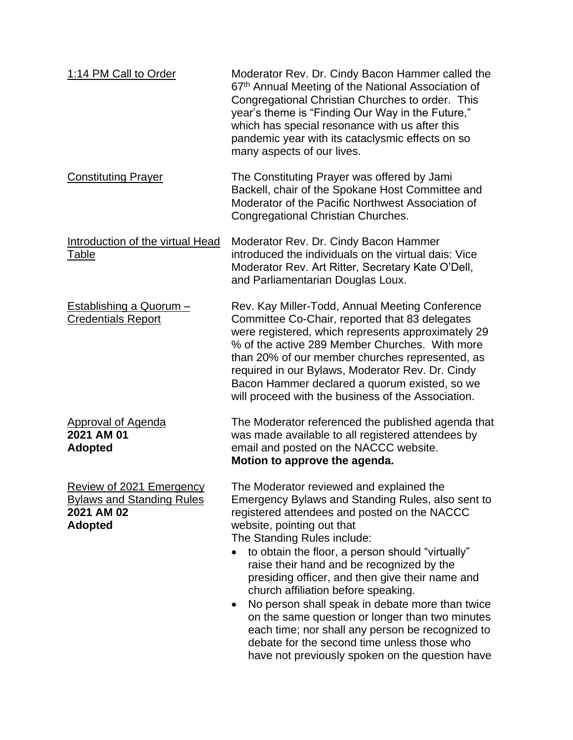| 1:14 PM Call to Order                                                                        | Moderator Rev. Dr. Cindy Bacon Hammer called the<br>67th Annual Meeting of the National Association of<br>Congregational Christian Churches to order. This<br>year's theme is "Finding Our Way in the Future,"<br>which has special resonance with us after this<br>pandemic year with its cataclysmic effects on so<br>many aspects of our lives.                                                                                                                                                                                                                                                                                                                |
|----------------------------------------------------------------------------------------------|-------------------------------------------------------------------------------------------------------------------------------------------------------------------------------------------------------------------------------------------------------------------------------------------------------------------------------------------------------------------------------------------------------------------------------------------------------------------------------------------------------------------------------------------------------------------------------------------------------------------------------------------------------------------|
| <b>Constituting Prayer</b>                                                                   | The Constituting Prayer was offered by Jami<br>Backell, chair of the Spokane Host Committee and<br>Moderator of the Pacific Northwest Association of<br>Congregational Christian Churches.                                                                                                                                                                                                                                                                                                                                                                                                                                                                        |
| Introduction of the virtual Head<br>Table                                                    | Moderator Rev. Dr. Cindy Bacon Hammer<br>introduced the individuals on the virtual dais: Vice<br>Moderator Rev. Art Ritter, Secretary Kate O'Dell,<br>and Parliamentarian Douglas Loux.                                                                                                                                                                                                                                                                                                                                                                                                                                                                           |
| Establishing a Quorum -<br><b>Credentials Report</b>                                         | Rev. Kay Miller-Todd, Annual Meeting Conference<br>Committee Co-Chair, reported that 83 delegates<br>were registered, which represents approximately 29<br>% of the active 289 Member Churches. With more<br>than 20% of our member churches represented, as<br>required in our Bylaws, Moderator Rev. Dr. Cindy<br>Bacon Hammer declared a quorum existed, so we<br>will proceed with the business of the Association.                                                                                                                                                                                                                                           |
| <b>Approval of Agenda</b><br>2021 AM 01<br><b>Adopted</b>                                    | The Moderator referenced the published agenda that<br>was made available to all registered attendees by<br>email and posted on the NACCC website.<br>Motion to approve the agenda.                                                                                                                                                                                                                                                                                                                                                                                                                                                                                |
| Review of 2021 Emergency<br><b>Bylaws and Standing Rules</b><br>2021 AM 02<br><b>Adopted</b> | The Moderator reviewed and explained the<br>Emergency Bylaws and Standing Rules, also sent to<br>registered attendees and posted on the NACCC<br>website, pointing out that<br>The Standing Rules include:<br>to obtain the floor, a person should "virtually"<br>raise their hand and be recognized by the<br>presiding officer, and then give their name and<br>church affiliation before speaking.<br>No person shall speak in debate more than twice<br>on the same question or longer than two minutes<br>each time; nor shall any person be recognized to<br>debate for the second time unless those who<br>have not previously spoken on the question have |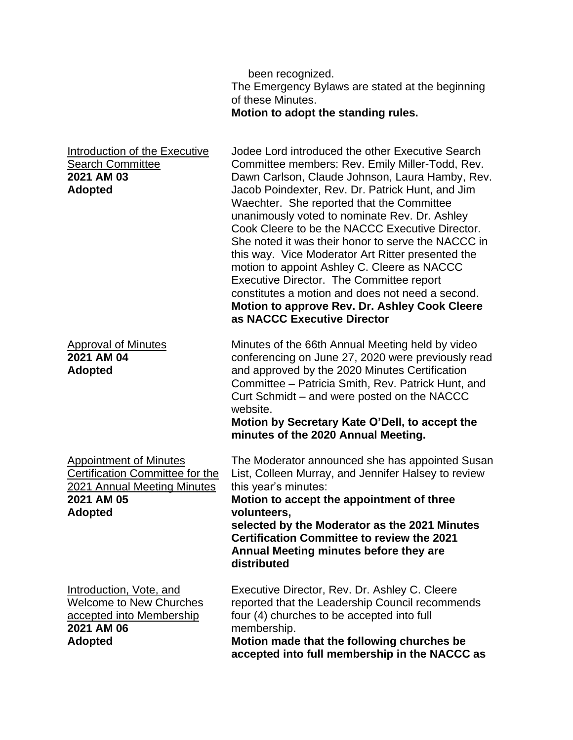|                                                                                                                                        | been recognized.<br>The Emergency Bylaws are stated at the beginning<br>of these Minutes.<br>Motion to adopt the standing rules.                                                                                                                                                                                                                                                                                                                                                                                                                                                                                                                                                                             |
|----------------------------------------------------------------------------------------------------------------------------------------|--------------------------------------------------------------------------------------------------------------------------------------------------------------------------------------------------------------------------------------------------------------------------------------------------------------------------------------------------------------------------------------------------------------------------------------------------------------------------------------------------------------------------------------------------------------------------------------------------------------------------------------------------------------------------------------------------------------|
| Introduction of the Executive<br><b>Search Committee</b><br>2021 AM 03<br><b>Adopted</b>                                               | Jodee Lord introduced the other Executive Search<br>Committee members: Rev. Emily Miller-Todd, Rev.<br>Dawn Carlson, Claude Johnson, Laura Hamby, Rev.<br>Jacob Poindexter, Rev. Dr. Patrick Hunt, and Jim<br>Waechter. She reported that the Committee<br>unanimously voted to nominate Rev. Dr. Ashley<br>Cook Cleere to be the NACCC Executive Director.<br>She noted it was their honor to serve the NACCC in<br>this way. Vice Moderator Art Ritter presented the<br>motion to appoint Ashley C. Cleere as NACCC<br><b>Executive Director. The Committee report</b><br>constitutes a motion and does not need a second.<br>Motion to approve Rev. Dr. Ashley Cook Cleere<br>as NACCC Executive Director |
| <b>Approval of Minutes</b><br>2021 AM 04<br><b>Adopted</b>                                                                             | Minutes of the 66th Annual Meeting held by video<br>conferencing on June 27, 2020 were previously read<br>and approved by the 2020 Minutes Certification<br>Committee – Patricia Smith, Rev. Patrick Hunt, and<br>Curt Schmidt – and were posted on the NACCC<br>website.<br>Motion by Secretary Kate O'Dell, to accept the<br>minutes of the 2020 Annual Meeting.                                                                                                                                                                                                                                                                                                                                           |
| <b>Appointment of Minutes</b><br><b>Certification Committee for the</b><br>2021 Annual Meeting Minutes<br>2021 AM 05<br><b>Adopted</b> | The Moderator announced she has appointed Susan<br>List, Colleen Murray, and Jennifer Halsey to review<br>this year's minutes:<br>Motion to accept the appointment of three<br>volunteers,<br>selected by the Moderator as the 2021 Minutes<br><b>Certification Committee to review the 2021</b><br>Annual Meeting minutes before they are<br>distributed                                                                                                                                                                                                                                                                                                                                                    |
| Introduction, Vote, and<br><b>Welcome to New Churches</b><br>accepted into Membership<br>2021 AM 06<br><b>Adopted</b>                  | Executive Director, Rev. Dr. Ashley C. Cleere<br>reported that the Leadership Council recommends<br>four (4) churches to be accepted into full<br>membership.<br>Motion made that the following churches be<br>accepted into full membership in the NACCC as                                                                                                                                                                                                                                                                                                                                                                                                                                                 |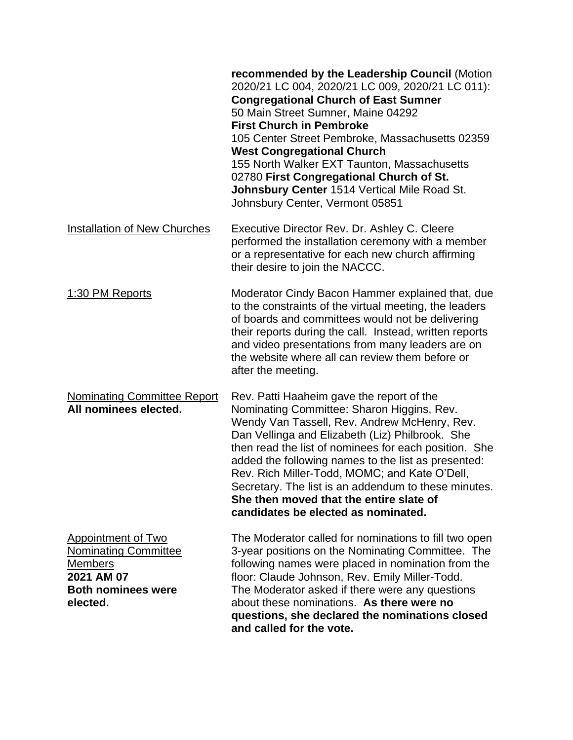|                                                                                                                                   | recommended by the Leadership Council (Motion<br>2020/21 LC 004, 2020/21 LC 009, 2020/21 LC 011):<br><b>Congregational Church of East Sumner</b><br>50 Main Street Sumner, Maine 04292<br><b>First Church in Pembroke</b><br>105 Center Street Pembroke, Massachusetts 02359<br><b>West Congregational Church</b><br>155 North Walker EXT Taunton, Massachusetts<br>02780 First Congregational Church of St.<br>Johnsbury Center 1514 Vertical Mile Road St.<br>Johnsbury Center, Vermont 05851       |
|-----------------------------------------------------------------------------------------------------------------------------------|-------------------------------------------------------------------------------------------------------------------------------------------------------------------------------------------------------------------------------------------------------------------------------------------------------------------------------------------------------------------------------------------------------------------------------------------------------------------------------------------------------|
| <b>Installation of New Churches</b>                                                                                               | Executive Director Rev. Dr. Ashley C. Cleere<br>performed the installation ceremony with a member<br>or a representative for each new church affirming<br>their desire to join the NACCC.                                                                                                                                                                                                                                                                                                             |
| 1:30 PM Reports                                                                                                                   | Moderator Cindy Bacon Hammer explained that, due<br>to the constraints of the virtual meeting, the leaders<br>of boards and committees would not be delivering<br>their reports during the call. Instead, written reports<br>and video presentations from many leaders are on<br>the website where all can review them before or<br>after the meeting.                                                                                                                                                |
| <b>Nominating Committee Report</b><br>All nominees elected.                                                                       | Rev. Patti Haaheim gave the report of the<br>Nominating Committee: Sharon Higgins, Rev.<br>Wendy Van Tassell, Rev. Andrew McHenry, Rev.<br>Dan Vellinga and Elizabeth (Liz) Philbrook. She<br>then read the list of nominees for each position. She<br>added the following names to the list as presented:<br>Rev. Rich Miller-Todd, MOMC; and Kate O'Dell,<br>Secretary. The list is an addendum to these minutes.<br>She then moved that the entire slate of<br>candidates be elected as nominated. |
| <b>Appointment of Two</b><br><b>Nominating Committee</b><br><b>Members</b><br>2021 AM 07<br><b>Both nominees were</b><br>elected. | The Moderator called for nominations to fill two open<br>3-year positions on the Nominating Committee. The<br>following names were placed in nomination from the<br>floor: Claude Johnson, Rev. Emily Miller-Todd.<br>The Moderator asked if there were any questions<br>about these nominations. As there were no<br>questions, she declared the nominations closed<br>and called for the vote.                                                                                                      |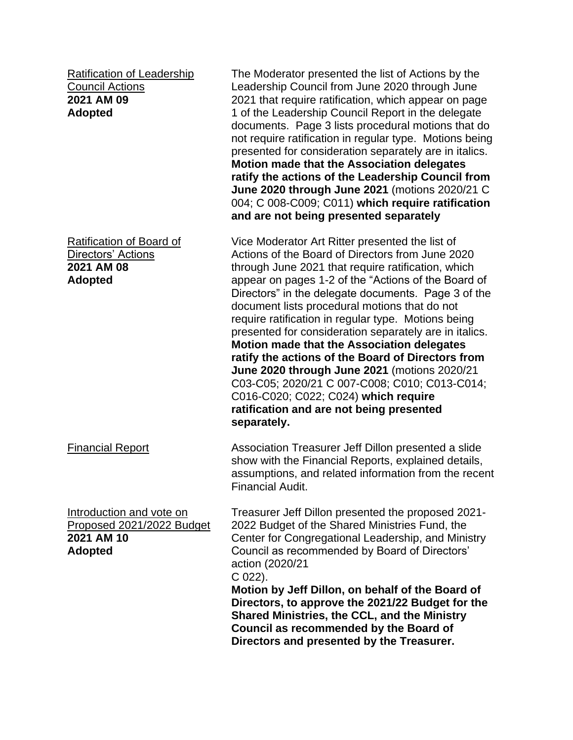Ratification of Leadership Council Actions **2021 AM 09 Adopted**

Ratification of Board of Directors' Actions **2021 AM 08 Adopted**

Introduction and vote on Proposed 2021/2022 Budget **2021 AM 10 Adopted**

The Moderator presented the list of Actions by the Leadership Council from June 2020 through June 2021 that require ratification, which appear on page 1 of the Leadership Council Report in the delegate documents. Page 3 lists procedural motions that do not require ratification in regular type. Motions being presented for consideration separately are in italics. **Motion made that the Association delegates ratify the actions of the Leadership Council from June 2020 through June 2021** (motions 2020/21 C 004; C 008-C009; C011) **which require ratification and are not being presented separately**

Vice Moderator Art Ritter presented the list of Actions of the Board of Directors from June 2020 through June 2021 that require ratification, which appear on pages 1-2 of the "Actions of the Board of Directors" in the delegate documents. Page 3 of the document lists procedural motions that do not require ratification in regular type. Motions being presented for consideration separately are in italics. **Motion made that the Association delegates ratify the actions of the Board of Directors from June 2020 through June 2021** (motions 2020/21 C03-C05; 2020/21 C 007-C008; C010; C013-C014; C016-C020; C022; C024) **which require ratification and are not being presented separately.**

Financial Report **Association Treasurer Jeff Dillon presented a slide** show with the Financial Reports, explained details, assumptions, and related information from the recent Financial Audit.

> Treasurer Jeff Dillon presented the proposed 2021- 2022 Budget of the Shared Ministries Fund, the Center for Congregational Leadership, and Ministry Council as recommended by Board of Directors' action (2020/21

C 022).

**Motion by Jeff Dillon, on behalf of the Board of Directors, to approve the 2021/22 Budget for the Shared Ministries, the CCL, and the Ministry Council as recommended by the Board of Directors and presented by the Treasurer.**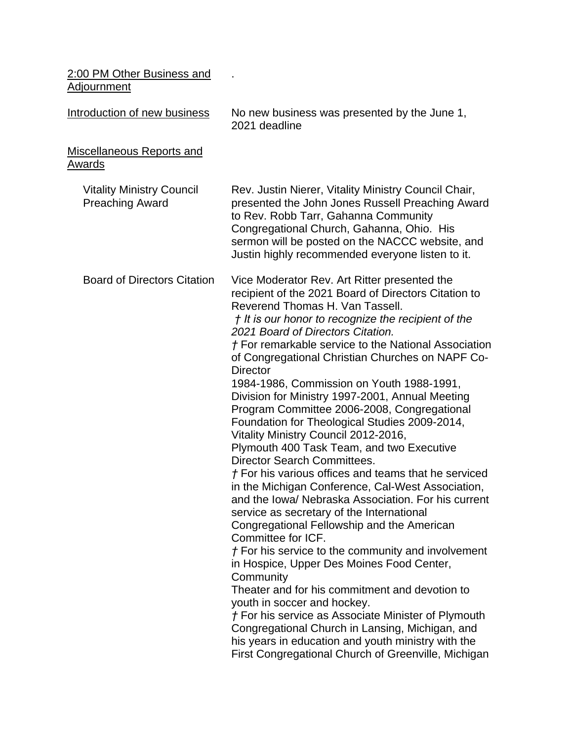| 2:00 PM Other Business and<br><b>Adjournment</b>           |                                                                                                                                                                                                                                                                                                                                                                                                                                                                                                                                                                                                                                                                                                                                                                                                                                                                                                                                                                                                                                                                                                                                                                                                                                                                                                                                                                                                           |
|------------------------------------------------------------|-----------------------------------------------------------------------------------------------------------------------------------------------------------------------------------------------------------------------------------------------------------------------------------------------------------------------------------------------------------------------------------------------------------------------------------------------------------------------------------------------------------------------------------------------------------------------------------------------------------------------------------------------------------------------------------------------------------------------------------------------------------------------------------------------------------------------------------------------------------------------------------------------------------------------------------------------------------------------------------------------------------------------------------------------------------------------------------------------------------------------------------------------------------------------------------------------------------------------------------------------------------------------------------------------------------------------------------------------------------------------------------------------------------|
| Introduction of new business                               | No new business was presented by the June 1,<br>2021 deadline                                                                                                                                                                                                                                                                                                                                                                                                                                                                                                                                                                                                                                                                                                                                                                                                                                                                                                                                                                                                                                                                                                                                                                                                                                                                                                                                             |
| <b>Miscellaneous Reports and</b><br>Awards                 |                                                                                                                                                                                                                                                                                                                                                                                                                                                                                                                                                                                                                                                                                                                                                                                                                                                                                                                                                                                                                                                                                                                                                                                                                                                                                                                                                                                                           |
| <b>Vitality Ministry Council</b><br><b>Preaching Award</b> | Rev. Justin Nierer, Vitality Ministry Council Chair,<br>presented the John Jones Russell Preaching Award<br>to Rev. Robb Tarr, Gahanna Community<br>Congregational Church, Gahanna, Ohio. His<br>sermon will be posted on the NACCC website, and<br>Justin highly recommended everyone listen to it.                                                                                                                                                                                                                                                                                                                                                                                                                                                                                                                                                                                                                                                                                                                                                                                                                                                                                                                                                                                                                                                                                                      |
| <b>Board of Directors Citation</b>                         | Vice Moderator Rev. Art Ritter presented the<br>recipient of the 2021 Board of Directors Citation to<br>Reverend Thomas H. Van Tassell.<br>† It is our honor to recognize the recipient of the<br>2021 Board of Directors Citation.<br>† For remarkable service to the National Association<br>of Congregational Christian Churches on NAPF Co-<br><b>Director</b><br>1984-1986, Commission on Youth 1988-1991,<br>Division for Ministry 1997-2001, Annual Meeting<br>Program Committee 2006-2008, Congregational<br>Foundation for Theological Studies 2009-2014,<br>Vitality Ministry Council 2012-2016,<br>Plymouth 400 Task Team, and two Executive<br>Director Search Committees.<br>† For his various offices and teams that he serviced<br>in the Michigan Conference, Cal-West Association<br>and the Iowa/ Nebraska Association. For his current<br>service as secretary of the International<br>Congregational Fellowship and the American<br>Committee for ICF.<br>† For his service to the community and involvement<br>in Hospice, Upper Des Moines Food Center,<br>Community<br>Theater and for his commitment and devotion to<br>youth in soccer and hockey.<br><i>†</i> For his service as Associate Minister of Plymouth<br>Congregational Church in Lansing, Michigan, and<br>his years in education and youth ministry with the<br>First Congregational Church of Greenville, Michigan |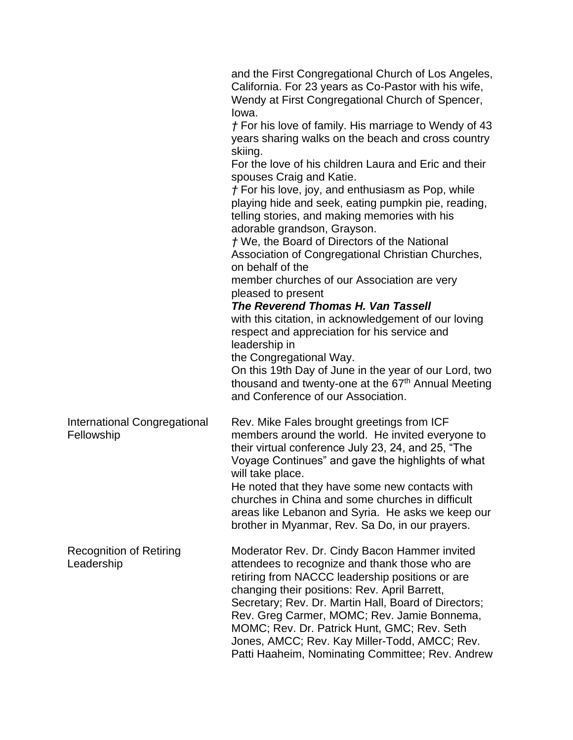|                                              | and the First Congregational Church of Los Angeles,<br>California. For 23 years as Co-Pastor with his wife,<br>Wendy at First Congregational Church of Spencer,<br>lowa.<br>$\uparrow$ For his love of family. His marriage to Wendy of 43<br>years sharing walks on the beach and cross country<br>skiing.<br>For the love of his children Laura and Eric and their<br>spouses Craig and Katie.<br>$f$ For his love, joy, and enthusiasm as Pop, while<br>playing hide and seek, eating pumpkin pie, reading,<br>telling stories, and making memories with his<br>adorable grandson, Grayson.<br>t We, the Board of Directors of the National<br>Association of Congregational Christian Churches,<br>on behalf of the<br>member churches of our Association are very<br>pleased to present<br>The Reverend Thomas H. Van Tassell<br>with this citation, in acknowledgement of our loving<br>respect and appreciation for his service and<br>leadership in<br>the Congregational Way.<br>On this 19th Day of June in the year of our Lord, two<br>thousand and twenty-one at the 67 <sup>th</sup> Annual Meeting<br>and Conference of our Association. |
|----------------------------------------------|---------------------------------------------------------------------------------------------------------------------------------------------------------------------------------------------------------------------------------------------------------------------------------------------------------------------------------------------------------------------------------------------------------------------------------------------------------------------------------------------------------------------------------------------------------------------------------------------------------------------------------------------------------------------------------------------------------------------------------------------------------------------------------------------------------------------------------------------------------------------------------------------------------------------------------------------------------------------------------------------------------------------------------------------------------------------------------------------------------------------------------------------------------|
| International Congregational<br>Fellowship   | Rev. Mike Fales brought greetings from ICF<br>members around the world. He invited everyone to<br>their virtual conference July 23, 24, and 25, "The<br>Voyage Continues" and gave the highlights of what<br>will take place.<br>He noted that they have some new contacts with<br>churches in China and some churches in difficult<br>areas like Lebanon and Syria. He asks we keep our<br>brother in Myanmar, Rev. Sa Do, in our prayers.                                                                                                                                                                                                                                                                                                                                                                                                                                                                                                                                                                                                                                                                                                             |
| <b>Recognition of Retiring</b><br>Leadership | Moderator Rev. Dr. Cindy Bacon Hammer invited<br>attendees to recognize and thank those who are<br>retiring from NACCC leadership positions or are<br>changing their positions: Rev. April Barrett,<br>Secretary; Rev. Dr. Martin Hall, Board of Directors;<br>Rev. Greg Carmer, MOMC; Rev. Jamie Bonnema,<br>MOMC; Rev. Dr. Patrick Hunt, GMC; Rev. Seth<br>Jones, AMCC; Rev. Kay Miller-Todd, AMCC; Rev.<br>Patti Haaheim, Nominating Committee; Rev. Andrew                                                                                                                                                                                                                                                                                                                                                                                                                                                                                                                                                                                                                                                                                          |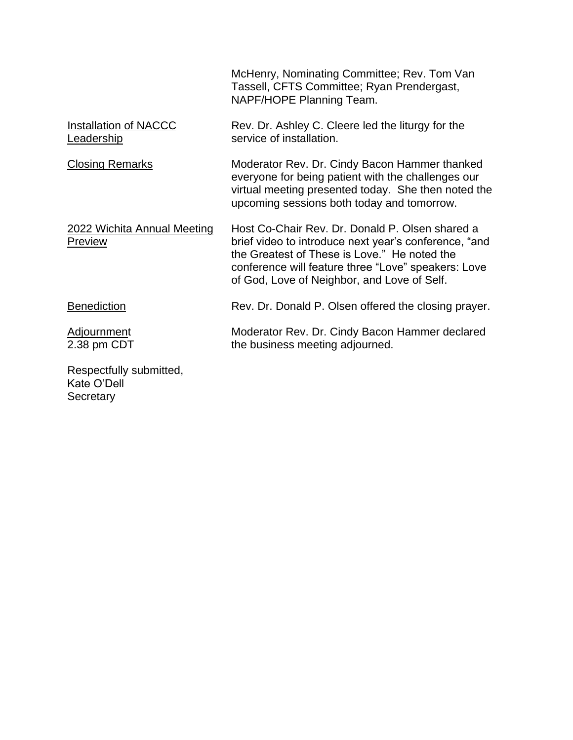|                                            | McHenry, Nominating Committee; Rev. Tom Van<br>Tassell, CFTS Committee; Ryan Prendergast,<br>NAPF/HOPE Planning Team.                                                                                                                                          |
|--------------------------------------------|----------------------------------------------------------------------------------------------------------------------------------------------------------------------------------------------------------------------------------------------------------------|
| <b>Installation of NACCC</b><br>Leadership | Rev. Dr. Ashley C. Cleere led the liturgy for the<br>service of installation.                                                                                                                                                                                  |
| <b>Closing Remarks</b>                     | Moderator Rev. Dr. Cindy Bacon Hammer thanked<br>everyone for being patient with the challenges our<br>virtual meeting presented today. She then noted the<br>upcoming sessions both today and tomorrow.                                                       |
| 2022 Wichita Annual Meeting<br>Preview     | Host Co-Chair Rev. Dr. Donald P. Olsen shared a<br>brief video to introduce next year's conference, "and<br>the Greatest of These is Love." He noted the<br>conference will feature three "Love" speakers: Love<br>of God, Love of Neighbor, and Love of Self. |
| <b>Benediction</b>                         | Rev. Dr. Donald P. Olsen offered the closing prayer.                                                                                                                                                                                                           |
| Adjournment<br>2.38 pm CDT                 | Moderator Rev. Dr. Cindy Bacon Hammer declared<br>the business meeting adjourned.                                                                                                                                                                              |
| Respectfully submitted,<br>Kate O'Dell     |                                                                                                                                                                                                                                                                |

**Secretary**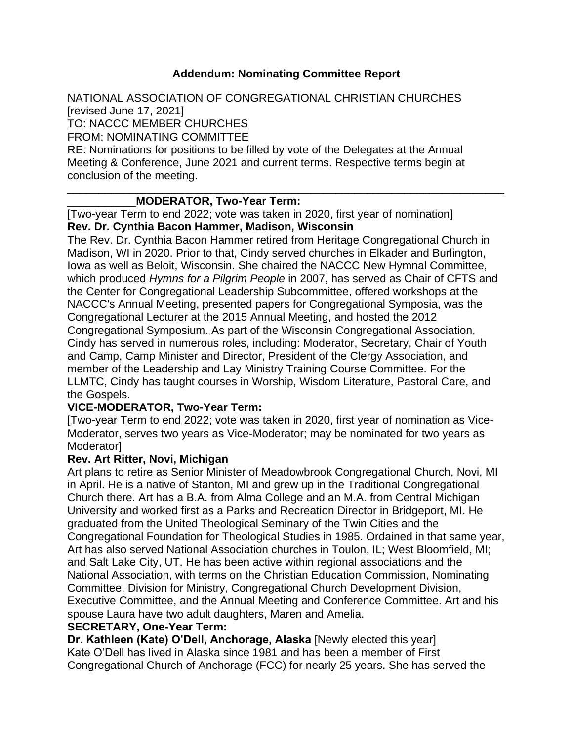### **Addendum: Nominating Committee Report**

NATIONAL ASSOCIATION OF CONGREGATIONAL CHRISTIAN CHURCHES [revised June 17, 2021]

TO: NACCC MEMBER CHURCHES

FROM: NOMINATING COMMITTEE

RE: Nominations for positions to be filled by vote of the Delegates at the Annual Meeting & Conference, June 2021 and current terms. Respective terms begin at conclusion of the meeting.

\_\_\_\_\_\_\_\_\_\_\_\_\_\_\_\_\_\_\_\_\_\_\_\_\_\_\_\_\_\_\_\_\_\_\_\_\_\_\_\_\_\_\_\_\_\_\_\_\_\_\_\_\_\_\_\_\_\_\_\_\_\_\_\_\_\_\_\_\_\_

### \_\_\_\_\_\_\_\_\_\_\_**MODERATOR, Two-Year Term:**

[Two-year Term to end 2022; vote was taken in 2020, first year of nomination] **Rev. Dr. Cynthia Bacon Hammer, Madison, Wisconsin**

The Rev. Dr. Cynthia Bacon Hammer retired from Heritage Congregational Church in Madison, WI in 2020. Prior to that, Cindy served churches in Elkader and Burlington, Iowa as well as Beloit, Wisconsin. She chaired the NACCC New Hymnal Committee, which produced *Hymns for a Pilgrim People* in 2007, has served as Chair of CFTS and the Center for Congregational Leadership Subcommittee, offered workshops at the NACCC's Annual Meeting, presented papers for Congregational Symposia, was the Congregational Lecturer at the 2015 Annual Meeting, and hosted the 2012 Congregational Symposium. As part of the Wisconsin Congregational Association, Cindy has served in numerous roles, including: Moderator, Secretary, Chair of Youth and Camp, Camp Minister and Director, President of the Clergy Association, and member of the Leadership and Lay Ministry Training Course Committee. For the LLMTC, Cindy has taught courses in Worship, Wisdom Literature, Pastoral Care, and the Gospels.

### **VICE-MODERATOR, Two-Year Term:**

[Two-year Term to end 2022; vote was taken in 2020, first year of nomination as Vice-Moderator, serves two years as Vice-Moderator; may be nominated for two years as Moderator]

### **Rev. Art Ritter, Novi, Michigan**

Art plans to retire as Senior Minister of Meadowbrook Congregational Church, Novi, MI in April. He is a native of Stanton, MI and grew up in the Traditional Congregational Church there. Art has a B.A. from Alma College and an M.A. from Central Michigan University and worked first as a Parks and Recreation Director in Bridgeport, MI. He graduated from the United Theological Seminary of the Twin Cities and the Congregational Foundation for Theological Studies in 1985. Ordained in that same year, Art has also served National Association churches in Toulon, IL; West Bloomfield, MI; and Salt Lake City, UT. He has been active within regional associations and the National Association, with terms on the Christian Education Commission, Nominating Committee, Division for Ministry, Congregational Church Development Division, Executive Committee, and the Annual Meeting and Conference Committee. Art and his spouse Laura have two adult daughters, Maren and Amelia.

#### **SECRETARY, One-Year Term:**

**Dr. Kathleen (Kate) O'Dell, Anchorage, Alaska** [Newly elected this year] Kate O'Dell has lived in Alaska since 1981 and has been a member of First Congregational Church of Anchorage (FCC) for nearly 25 years. She has served the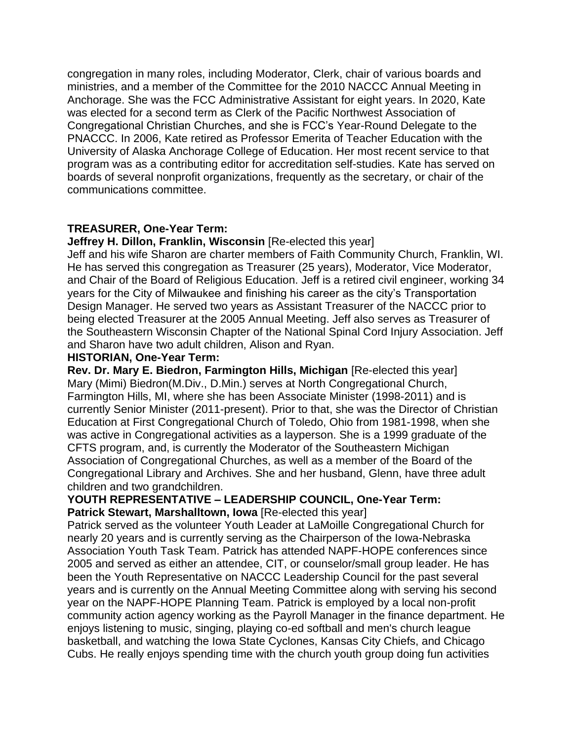congregation in many roles, including Moderator, Clerk, chair of various boards and ministries, and a member of the Committee for the 2010 NACCC Annual Meeting in Anchorage. She was the FCC Administrative Assistant for eight years. In 2020, Kate was elected for a second term as Clerk of the Pacific Northwest Association of Congregational Christian Churches, and she is FCC's Year-Round Delegate to the PNACCC. In 2006, Kate retired as Professor Emerita of Teacher Education with the University of Alaska Anchorage College of Education. Her most recent service to that program was as a contributing editor for accreditation self-studies. Kate has served on boards of several nonprofit organizations, frequently as the secretary, or chair of the communications committee.

## **TREASURER, One-Year Term:**

**Jeffrey H. Dillon, Franklin, Wisconsin [Re-elected this year]** 

Jeff and his wife Sharon are charter members of Faith Community Church, Franklin, WI. He has served this congregation as Treasurer (25 years), Moderator, Vice Moderator, and Chair of the Board of Religious Education. Jeff is a retired civil engineer, working 34 years for the City of Milwaukee and finishing his career as the city's Transportation Design Manager. He served two years as Assistant Treasurer of the NACCC prior to being elected Treasurer at the 2005 Annual Meeting. Jeff also serves as Treasurer of the Southeastern Wisconsin Chapter of the National Spinal Cord Injury Association. Jeff and Sharon have two adult children, Alison and Ryan.

#### **HISTORIAN, One-Year Term:**

**Rev. Dr. Mary E. Biedron, Farmington Hills, Michigan** [Re-elected this year] Mary (Mimi) Biedron(M.Div., D.Min.) serves at North Congregational Church, Farmington Hills, MI, where she has been Associate Minister (1998-2011) and is currently Senior Minister (2011-present). Prior to that, she was the Director of Christian Education at First Congregational Church of Toledo, Ohio from 1981-1998, when she was active in Congregational activities as a layperson. She is a 1999 graduate of the CFTS program, and, is currently the Moderator of the Southeastern Michigan Association of Congregational Churches, as well as a member of the Board of the Congregational Library and Archives. She and her husband, Glenn, have three adult children and two grandchildren.

#### **YOUTH REPRESENTATIVE – LEADERSHIP COUNCIL, One-Year Term: Patrick Stewart, Marshalltown, Iowa** [Re-elected this year]

Patrick served as the volunteer Youth Leader at LaMoille Congregational Church for nearly 20 years and is currently serving as the Chairperson of the Iowa-Nebraska Association Youth Task Team. Patrick has attended NAPF-HOPE conferences since 2005 and served as either an attendee, CIT, or counselor/small group leader. He has been the Youth Representative on NACCC Leadership Council for the past several years and is currently on the Annual Meeting Committee along with serving his second year on the NAPF-HOPE Planning Team. Patrick is employed by a local non-profit community action agency working as the Payroll Manager in the finance department. He enjoys listening to music, singing, playing co-ed softball and men's church league basketball, and watching the Iowa State Cyclones, Kansas City Chiefs, and Chicago Cubs. He really enjoys spending time with the church youth group doing fun activities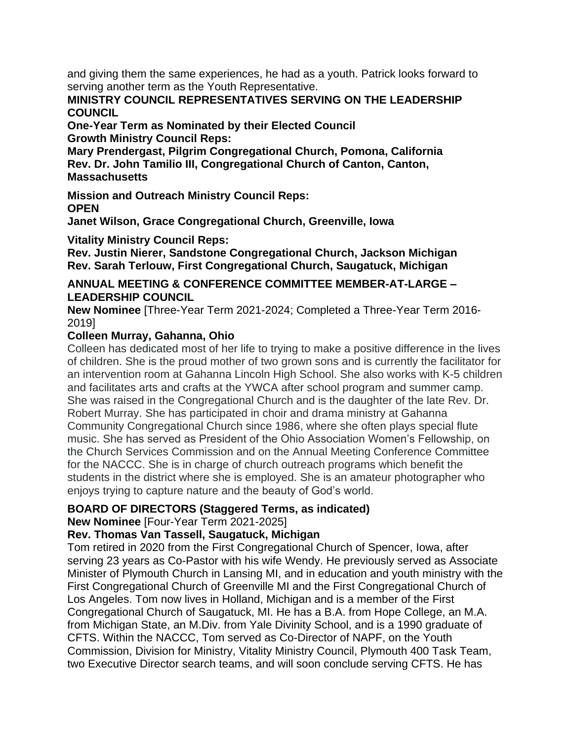and giving them the same experiences, he had as a youth. Patrick looks forward to serving another term as the Youth Representative.

### **MINISTRY COUNCIL REPRESENTATIVES SERVING ON THE LEADERSHIP COUNCIL**

**One-Year Term as Nominated by their Elected Council Growth Ministry Council Reps:** 

**Mary Prendergast, Pilgrim Congregational Church, Pomona, California Rev. Dr. John Tamilio III, Congregational Church of Canton, Canton, Massachusetts** 

**Mission and Outreach Ministry Council Reps: OPEN** 

**Janet Wilson, Grace Congregational Church, Greenville, Iowa** 

**Vitality Ministry Council Reps:** 

**Rev. Justin Nierer, Sandstone Congregational Church, Jackson Michigan Rev. Sarah Terlouw, First Congregational Church, Saugatuck, Michigan** 

## **ANNUAL MEETING & CONFERENCE COMMITTEE MEMBER-AT-LARGE – LEADERSHIP COUNCIL**

**New Nominee** [Three-Year Term 2021-2024; Completed a Three-Year Term 2016- 2019]

# **Colleen Murray, Gahanna, Ohio**

Colleen has dedicated most of her life to trying to make a positive difference in the lives of children. She is the proud mother of two grown sons and is currently the facilitator for an intervention room at Gahanna Lincoln High School. She also works with K-5 children and facilitates arts and crafts at the YWCA after school program and summer camp. She was raised in the Congregational Church and is the daughter of the late Rev. Dr. Robert Murray. She has participated in choir and drama ministry at Gahanna Community Congregational Church since 1986, where she often plays special flute music. She has served as President of the Ohio Association Women's Fellowship, on the Church Services Commission and on the Annual Meeting Conference Committee for the NACCC. She is in charge of church outreach programs which benefit the students in the district where she is employed. She is an amateur photographer who enjoys trying to capture nature and the beauty of God's world.

# **BOARD OF DIRECTORS (Staggered Terms, as indicated)**

**New Nominee** [Four-Year Term 2021-2025]

# **Rev. Thomas Van Tassell, Saugatuck, Michigan**

Tom retired in 2020 from the First Congregational Church of Spencer, Iowa, after serving 23 years as Co-Pastor with his wife Wendy. He previously served as Associate Minister of Plymouth Church in Lansing MI, and in education and youth ministry with the First Congregational Church of Greenville MI and the First Congregational Church of Los Angeles. Tom now lives in Holland, Michigan and is a member of the First Congregational Church of Saugatuck, MI. He has a B.A. from Hope College, an M.A. from Michigan State, an M.Div. from Yale Divinity School, and is a 1990 graduate of CFTS. Within the NACCC, Tom served as Co-Director of NAPF, on the Youth Commission, Division for Ministry, Vitality Ministry Council, Plymouth 400 Task Team, two Executive Director search teams, and will soon conclude serving CFTS. He has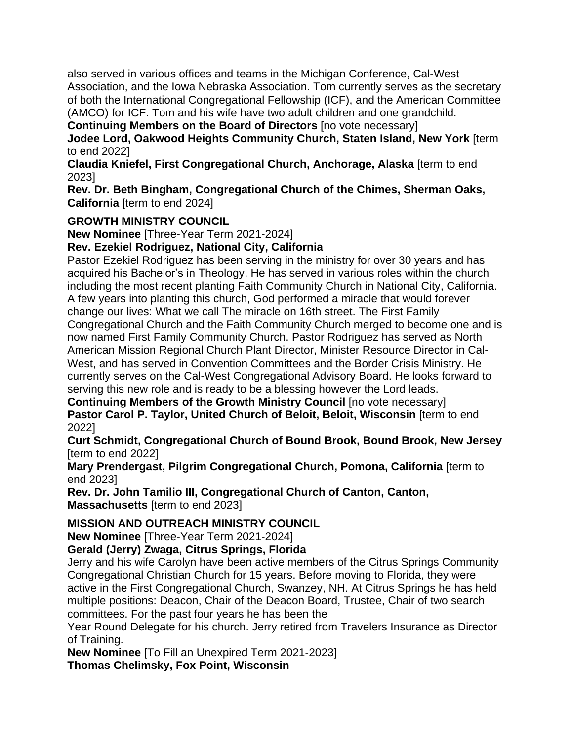also served in various offices and teams in the Michigan Conference, Cal-West Association, and the Iowa Nebraska Association. Tom currently serves as the secretary of both the International Congregational Fellowship (ICF), and the American Committee (AMCO) for ICF. Tom and his wife have two adult children and one grandchild.

**Continuing Members on the Board of Directors** [no vote necessary]

**Jodee Lord, Oakwood Heights Community Church, Staten Island, New York** [term to end 2022]

**Claudia Kniefel, First Congregational Church, Anchorage, Alaska** [term to end 2023]

**Rev. Dr. Beth Bingham, Congregational Church of the Chimes, Sherman Oaks, California** [term to end 2024]

## **GROWTH MINISTRY COUNCIL**

**New Nominee** [Three-Year Term 2021-2024]

**Rev. Ezekiel Rodriguez, National City, California** 

Pastor Ezekiel Rodriguez has been serving in the ministry for over 30 years and has acquired his Bachelor's in Theology. He has served in various roles within the church including the most recent planting Faith Community Church in National City, California. A few years into planting this church, God performed a miracle that would forever change our lives: What we call The miracle on 16th street. The First Family Congregational Church and the Faith Community Church merged to become one and is now named First Family Community Church. Pastor Rodriguez has served as North American Mission Regional Church Plant Director, Minister Resource Director in Cal-West, and has served in Convention Committees and the Border Crisis Ministry. He currently serves on the Cal-West Congregational Advisory Board. He looks forward to serving this new role and is ready to be a blessing however the Lord leads.

**Continuing Members of the Growth Ministry Council [no vote necessary] Pastor Carol P. Taylor, United Church of Beloit, Beloit, Wisconsin** [term to end 2022]

**Curt Schmidt, Congregational Church of Bound Brook, Bound Brook, New Jersey**  [term to end 2022]

**Mary Prendergast, Pilgrim Congregational Church, Pomona, California** [term to end 2023]

**Rev. Dr. John Tamilio III, Congregational Church of Canton, Canton, Massachusetts** [term to end 2023]

**MISSION AND OUTREACH MINISTRY COUNCIL** 

**New Nominee** [Three-Year Term 2021-2024]

**Gerald (Jerry) Zwaga, Citrus Springs, Florida** 

Jerry and his wife Carolyn have been active members of the Citrus Springs Community Congregational Christian Church for 15 years. Before moving to Florida, they were active in the First Congregational Church, Swanzey, NH. At Citrus Springs he has held multiple positions: Deacon, Chair of the Deacon Board, Trustee, Chair of two search committees. For the past four years he has been the

Year Round Delegate for his church. Jerry retired from Travelers Insurance as Director of Training.

**New Nominee** [To Fill an Unexpired Term 2021-2023] **Thomas Chelimsky, Fox Point, Wisconsin**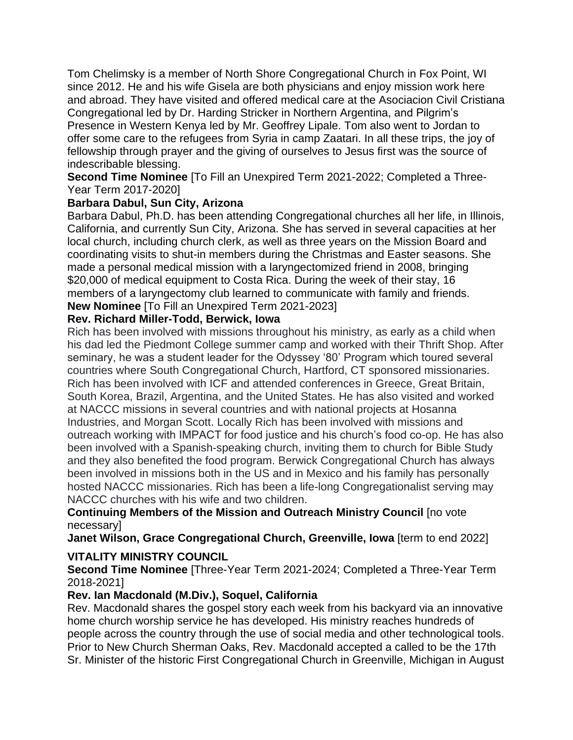Tom Chelimsky is a member of North Shore Congregational Church in Fox Point, WI since 2012. He and his wife Gisela are both physicians and enjoy mission work here and abroad. They have visited and offered medical care at the Asociacion Civil Cristiana Congregational led by Dr. Harding Stricker in Northern Argentina, and Pilgrim's Presence in Western Kenya led by Mr. Geoffrey Lipale. Tom also went to Jordan to offer some care to the refugees from Syria in camp Zaatari. In all these trips, the joy of fellowship through prayer and the giving of ourselves to Jesus first was the source of indescribable blessing.

**Second Time Nominee** [To Fill an Unexpired Term 2021-2022; Completed a Three-Year Term 2017-2020]

# **Barbara Dabul, Sun City, Arizona**

Barbara Dabul, Ph.D. has been attending Congregational churches all her life, in Illinois, California, and currently Sun City, Arizona. She has served in several capacities at her local church, including church clerk, as well as three years on the Mission Board and coordinating visits to shut-in members during the Christmas and Easter seasons. She made a personal medical mission with a laryngectomized friend in 2008, bringing \$20,000 of medical equipment to Costa Rica. During the week of their stay, 16 members of a laryngectomy club learned to communicate with family and friends. **New Nominee** [To Fill an Unexpired Term 2021-2023]

## **Rev. Richard Miller-Todd, Berwick, Iowa**

Rich has been involved with missions throughout his ministry, as early as a child when his dad led the Piedmont College summer camp and worked with their Thrift Shop. After seminary, he was a student leader for the Odyssey '80' Program which toured several countries where South Congregational Church, Hartford, CT sponsored missionaries. Rich has been involved with ICF and attended conferences in Greece, Great Britain, South Korea, Brazil, Argentina, and the United States. He has also visited and worked at NACCC missions in several countries and with national projects at Hosanna Industries, and Morgan Scott. Locally Rich has been involved with missions and outreach working with IMPACT for food justice and his church's food co-op. He has also been involved with a Spanish-speaking church, inviting them to church for Bible Study and they also benefited the food program. Berwick Congregational Church has always been involved in missions both in the US and in Mexico and his family has personally hosted NACCC missionaries. Rich has been a life-long Congregationalist serving may NACCC churches with his wife and two children.

### **Continuing Members of the Mission and Outreach Ministry Council** [no vote necessary]

**Janet Wilson, Grace Congregational Church, Greenville, Iowa** [term to end 2022]

# **VITALITY MINISTRY COUNCIL**

**Second Time Nominee** [Three-Year Term 2021-2024; Completed a Three-Year Term 2018-2021]

# **Rev. Ian Macdonald (M.Div.), Soquel, California**

Rev. Macdonald shares the gospel story each week from his backyard via an innovative home church worship service he has developed. His ministry reaches hundreds of people across the country through the use of social media and other technological tools. Prior to New Church Sherman Oaks, Rev. Macdonald accepted a called to be the 17th Sr. Minister of the historic First Congregational Church in Greenville, Michigan in August